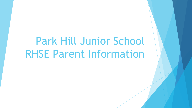# Park Hill Junior School RHSE Parent Information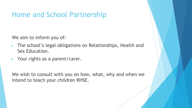#### Home and School Partnership

We aim to inform you of:

- ► The school's legal obligations on Relationships, Health and Sex Education.
- ► Your rights as a parent/carer.

We wish to consult with you on how, what, why and when we intend to teach your children RHSE.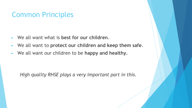#### Common Principles

- ► We all want what is **best for our children**.
- ► We all want to **protect our children and keep them safe**.
- ► We all want our children to be **happy and healthy.**

*High quality RHSE plays a very important part in this.*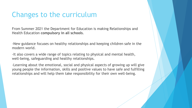#### Changes to the curriculum

From Summer 2021 the Department for Education is making Relationships and Health Education **compulsory in all schools**.

-New guidance focuses on healthy relationships and keeping children safe in the modern world.

-It also covers a wide range of topics relating to physical and mental health, well-being, safeguarding and healthy relationships.

-Learning about the emotional, social and physical aspects of growing up will give young people the information, skills and positive values to have safe and fulfilling relationships and will help them take responsibility for their own well-being.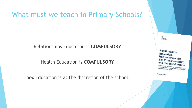#### What must we teach in Primary Schools?

Relationships Education is **COMPULSORY.**

Health Education is **COMPULSORY.**

Sex Education is at the discretion of the school.

**Relationships** Education, Relationships and Sex Education (RSE) and Health Education<br> **Draft statusory mutual** Praft statutory guidance for governing bodies,<br>proprietors, head teachers, principals bodies, prietors, head teachers, principals, senior<br>prietors, head teachers, principals, senior<br>dership teams, teachers

February 2019

**Montgreen**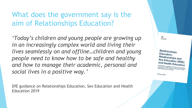#### What does the government say is the aim of Relationships Education?

*'Today's children and young people are growing up in an increasingly complex world and living their lives seamlessly on and offline…children and young people need to know how to be safe and healthy and how to manage their academic, personal and social lives in a positive way.'*

DfE guidance on Relationships Education, Sex Education and Health Education 2019

**Relationships** Education, Relationships and Sex Education (RSE) and Health Education fance for goven rs, head teachers, princip

ebruary 201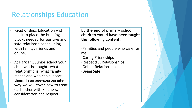#### Relationships Education

- Relationships Education will put into place the building blocks needed for positive and safe relationships including with family, friends and online.
- At Park Hill Junior school your child will be taught; what a relationship is, what family means and who can support them. In an **age-appropriate way** we will cover how to treat each other with kindness, consideration and respect.

**By the end of primary school children would have been taught the following content:**

-Families and people who care for me

- -Caring Friendships
- -Respectful Relationships
- -Online Relationships
- -Being Safe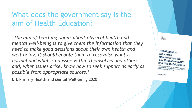#### What does the government say is the aim of Health Education?

*'The aim of teaching pupils about physical health and mental well-being is to give them the information that they need to make good decisions about their own health and well-being. It should enable them to recognise what is normal and what is an issue within themselves and others and, when issues arise, know how to seek support as early as possible from appropriate sources.'*

DfE Primary Health and Mental Well-being 2020

**Relationships** Education, Relationships and Sex Education (RSE) and Health Education Hatutory guidance for governing bodies<br>Mors, head teachers, principals bodies irletors, head teachers, governin<br>Fiship teams, teachers, principals<br>Fiship teams, teachers,

February 201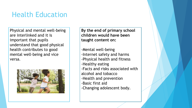# Health Education

Physical and mental well-being are interlinked and it is important that pupils understand that good physical health contributes to good mental well-being and vice versa.



**By the end of primary school children would have been taught content on:**

-Mental well-being -Internet safety and harms -Physical health and fitness -Healthy eating -Facts and risks associated with alcohol and tobacco -Health and prevention -Basic first aid -Changing adolescent body.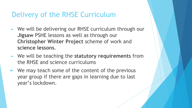#### Delivery of the RHSE Curriculum

- ► We will be delivering our RHSE curriculum through our **Jigsaw** PSHE lessons as well as through our **Christopher Winter Project** scheme of work and **science lessons**.
- ► We will be teaching the **statutory requirements** from the RHSE and science curriculums
- $\blacktriangleright$  We may teach some of the content of the previous year group if there are gaps in learning due to last year's lockdown.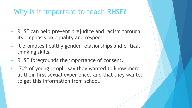#### Why is it important to teach RHSE?

- ► RHSE can help prevent prejudice and racism through its emphasis on equality and respect.
- ► It promotes healthy gender relationships and critical thinking skills.
- ► RHSE foregrounds the importance of consent.
- ► 70% of young people say they wanted to know more at their first sexual experience, and that they wanted to get this information from school.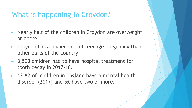# What is happening in Croydon?

- ► Nearly half of the children in Croydon are overweight or obese.
- ► Croydon has a higher rate of teenage pregnancy than other parts of the country.
- ► 3,500 children had to have hospital treatment for tooth decay in 2017-18.
- ► 12.8% of children in England have a mental health disorder (2017) and 5% have two or more.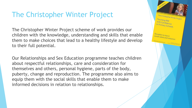#### The Christopher Winter Project

The Christopher Winter Project scheme of work provides our children with the knowledge, understanding and skills that enable them to make choices that lead to a healthy lifestyle and develop to their full potential.

Our Relationships and Sex Education programme teaches children about respectful relationships, care and consideration for themselves and others, personal hygiene, parts of the body, puberty, change and reproduction. The programme also aims to equip them with the social skills that enable them to make informed decisions in relation to relationships.

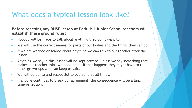#### What does a typical lesson look like?

**Before teaching any RHSE lesson at Park Hill Junior School teachers will establish these ground rules:**

- ► Nobody will be made to talk about anything they don't want to.
- ► We will use the correct names for parts of our bodies and the things they can do.
- ► If we are worried or scared about anything we can talk to our teacher after the lesson.
- ► Anything we say in this lesson will be kept private, unless we say something that makes our teacher think we need help. If that happens they might have to tell other grown-ups who can keep us safe.
- ► We will be polite and respectful to everyone at all times.
- If anyone continues to break our agreement, the consequence will be a lunch time reflection.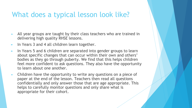#### What does a typical lesson look like?

- ► All year groups are taught by their class teachers who are trained in delivering high quality RHSE lessons.
- ► In Years 3 and 4 all children learn together.
- ► In Years 5 and 6 children are separated into gender groups to learn about specific changes that can occur within their own and others' bodies as they go through puberty. We find that this helps children feel more confident to ask questions. They also have the opportunity to learn about one another.
- ► Children have the opportunity to write any questions on a piece of paper at the end of the lesson. Teachers then read all questions confidentially and only answer those that are age appropriate. This helps to carefully monitor questions and only share what is appropriate for their cohort.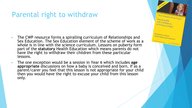#### Parental right to withdraw

- ► The CWP resource forms a spiralling curriculum of Relationships and Sex Education. The Sex Education element of the scheme of work as a whole is in line with the science curriculum. Lessons on puberty form part of the **statutory** Health Education which means parents do not have the right to withdraw their children from these particular lessons.
- ► The one exception would be a session in Year 6 which includes **age appropriate** discussions on how a baby is conceived and born. If as a parent/carer you feel that this lesson is not appropriate for your child then you would have the right to excuse your child from this lesson only.

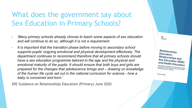### What does the government say about Sex Education in Primary Schools?

- ► *'Many primary schools already choose to teach some aspects of sex education and will continue to do so, although it is not a requirement.*
- ► *It is important that the transition phase before moving to secondary school supports pupils' ongoing emotional and physical development effectively. The department continues to recommend therefore that all primary schools should have a sex education programme tailored to the age and the physical and emotional maturity of the pupils. It should ensure that both boys and girls are prepared for the changes that adolescence brings and – drawing on knowledge of the human life cycle set out in the national curriculum for science - how a baby is conceived and born.'*

DfE Guidance on Relationships Education (Primary) June 2020

**Relationships** Education, Relationships and Sex Education (RSE) and Health Education atutory guidance for governing bodies<br>fors, head teachers, principals bodies dors, head teachers, principal<br>hip teams, teachers, principal

February 2019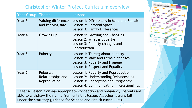#### Christopher Winter Project Curriculum overview:

**CWP Curriculum Overview** 

Growing and Caring

Year<sub>2</sub> **Differences** Year<sub>2</sub> **Valuing Difference**<br>and Keeping Safe

Puberty

Lesson 1: Our D Lesson 3. L.

**The Color** 

Lesson a

Lesson 2: Growing Clean son 3: Families **Benediation** 

| <b>Year Group</b> | <b>Theme</b>                                  | <b>Lessons:</b>                                                                                                                                                |  |
|-------------------|-----------------------------------------------|----------------------------------------------------------------------------------------------------------------------------------------------------------------|--|
| Year 3            | Valuing difference<br>and keeping safe        | Lesson 1: Differences in Male and Female<br>Lesson 2: Personal Space<br>Lesson 3: Family Differences                                                           |  |
| Year 4            | Growing up                                    | Lesson 1: Growing and Changing<br>Lesson 2: What is puberty?<br>Lesson 3: Puberty changes and<br>Reproduction.                                                 |  |
| Year 5            | Puberty                                       | Lesson 1: Talking about puberty<br>Lesson 2: Male and Female changes<br>Lesson 3: Puberty and Hygiene<br>Lesson 4: Respect and Equality                        |  |
| Year 6            | Puberty,<br>Relationships and<br>Reproduction | Lesson 1: Puberty and Reproduction<br>Lesson 2: Understanding Relationships<br>Lesson 3: Conception and Pregnancy*<br>Lesson 4: Communicating in Relationships |  |

\* Year 6, lesson 3 on age appropriate conception and pregnancy, parents are able to withdraw their child from only this lesson. All other lessons fall under the statutory guidance for Science and Health curriculums.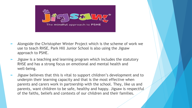

- Alongside the Christopher Winter Project which is the scheme of work we use to teach RHSE, Park Hill Junior School is also using the Jigsaw approach to PSHE.
- Jigsaw is a teaching and learning program which includes the statutory RHSE and has a strong focus on emotional and mental health and well-being.
- Jigsaw believes that this is vital to support children's development and to underpin their learning capacity and that is the most effective when parents and carers work in partnership with the school. They, like us and parents, want children to be safe, healthy and happy. Jigsaw is respectful of the faiths, beliefs and contexts of our children and their families.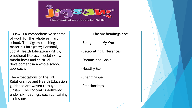The mindful approach to PSHE

Jigsaw is a comprehensive scheme of work for the whole primary school. The Jigsaw teaching materials integrate; Personal, Social Health Education (PSHE), emotional literacy, social skills, mindfulness and spiritual development in a whole school approach.

The expectations of the DfE Relationships and Health Education guidance are woven throughout Jigsaw. The content is delivered under six headings, each containing six lessons.

#### **The six headings are:**

- -Being me in My World
- -Celebrating Differences
- -Dreams and Goals
- -Healthy Me
- -Changing Me
- -Relationships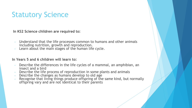# Statutory Science

 **In KS2 Science children are required to:**

- Understand that the life processes common to humans and other animals including nutrition, growth and reproduction.
- Learn about the main stages of the human life cycle.

#### **In Years 5 and 6 children will learn to:**

- Describe the differences in the life cycles of a mammal, an amphibian, an insect and a bird
- Describe the life process of reproduction in some plants and animals
- Describe the changes as humans develop to old age
- Recognise that living things produce offspring of the same kind, but normally offspring vary and are not identical to their parents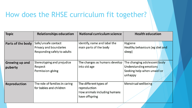# How does the RHSE curriculum fit together?

| <b>Topic</b>                     | <b>Relationships education</b>                                               | National curriculum science                                                              | <b>Health education</b>                                                                          |
|----------------------------------|------------------------------------------------------------------------------|------------------------------------------------------------------------------------------|--------------------------------------------------------------------------------------------------|
| Parts of the body                | Safe/unsafe contact<br>Privacy and boundaries<br>Responding safely to adults | Identify, name and label the<br>main parts of the body                                   | Hygiene<br>Healthy behaviours (eg diet and<br>sleep)                                             |
| <b>Growing up and</b><br>puberty | Stereotyping and prejudice<br>Respect<br>Permission-giving                   | The changes as humans develop<br>into old age                                            | The changing adolescent body<br>Understanding emotions<br>Seeking help when unwell or<br>unhappy |
| <b>Reproduction</b>              | The role of families in caring<br>for babies and children                    | The different types of<br>reproduction<br>How animals including humans<br>have offspring | Menstrual wellbeing                                                                              |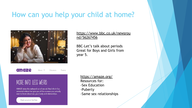#### How can you help your child at home?



#### [https://www.bbc.co.uk/newsrou](https://www.bbc.co.uk/newsround/56267456) [nd/56267456](https://www.bbc.co.uk/newsround/56267456)

BBC-Let's talk about periods Great for Boys and Girls from year 5.



About Y **Educators** Parents

#### MORE INFO. LESS WEIRD.

AMAZE takes the awkward out of sex ed. Real info in fun, animated videos that give you all the answers you actually want to know about sex, your body and relationships.

Check us out on YouTube

<https://amaze.org/> Resources for: -Sex Education -Puberty -Same sex relationships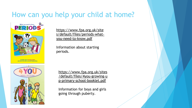# How can you help your child at home?





[https://www.fpa.org.uk/site](https://www.fpa.org.uk/sites/default/files/periods-what-you-need-to-know.pdf) [s/default/files/periods-what](https://www.fpa.org.uk/sites/default/files/periods-what-you-need-to-know.pdf)[you-need-to-know.pdf](https://www.fpa.org.uk/sites/default/files/periods-what-you-need-to-know.pdf)

Information about starting periods.

[https://www.fpa.org.uk/sites](https://www.fpa.org.uk/sites/default/files/4you-growing-up-primary-school-booklet.pdf) [/default/files/4you-growing-u](https://www.fpa.org.uk/sites/default/files/4you-growing-up-primary-school-booklet.pdf) [p-primary-school-booklet.pdf](https://www.fpa.org.uk/sites/default/files/4you-growing-up-primary-school-booklet.pdf)

Information for boys and girls going through puberty.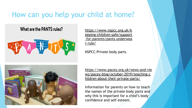# How can you help your child at home?

#### What are the PANTS rules?



[https://www.nspcc.org.uk/k](https://www.nspcc.org.uk/keeping-children-safe/support-for-parents/pants-underwear-rule/) [eeping-children-safe/support](https://www.nspcc.org.uk/keeping-children-safe/support-for-parents/pants-underwear-rule/) [-for-parents/pants-underwea](https://www.nspcc.org.uk/keeping-children-safe/support-for-parents/pants-underwear-rule/) [r-rule/](https://www.nspcc.org.uk/keeping-children-safe/support-for-parents/pants-underwear-rule/)

NSPCC-Private body parts



[https://www.pacey.org.uk/news-and-vie](https://www.pacey.org.uk/news-and-views/pacey-blog/october-2019/teaching-children-about-their-private-parts/) [ws/pacey-blog/october-2019/teaching-c](https://www.pacey.org.uk/news-and-views/pacey-blog/october-2019/teaching-children-about-their-private-parts/) [hildren-about-their-private-parts/](https://www.pacey.org.uk/news-and-views/pacey-blog/october-2019/teaching-children-about-their-private-parts/)

Information for parents on how to teach the names of the private body parts and why this is important for a child's body confidence and self esteem.